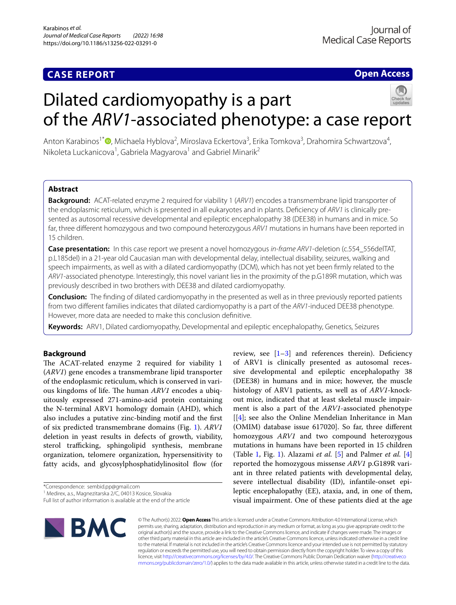# **CASE REPORT**

# **Open Access**

# Dilated cardiomyopathy is a part of the *ARV1*-associated phenotype: a case report

Anton Karabinos<sup>1\*</sup><sup>®</sup>[,](http://orcid.org/0000-0001-6633-4343) Michaela Hyblova<sup>2</sup>, Miroslava Eckertova<sup>3</sup>, Erika Tomkova<sup>3</sup>, Drahomira Schwartzova<sup>4</sup>, Nikoleta Luckanicova<sup>1</sup>, Gabriela Magyarova<sup>1</sup> and Gabriel Minarik<sup>2</sup>

## **Abstract**

**Background:** ACAT-related enzyme 2 required for viability 1 (*ARV1*) encodes a transmembrane lipid transporter of the endoplasmic reticulum, which is presented in all eukaryotes and in plants. Defciency of *ARV1* is clinically presented as autosomal recessive developmental and epileptic encephalopathy 38 (DEE38) in humans and in mice. So far, three diferent homozygous and two compound heterozygous *ARV1* mutations in humans have been reported in 15 children.

**Case presentation:** In this case report we present a novel homozygous *in-frame ARV1*-deletion (c.554\_556delTAT, p.L185del) in a 21-year old Caucasian man with developmental delay, intellectual disability, seizures, walking and speech impairments, as well as with a dilated cardiomyopathy (DCM), which has not yet been frmly related to the *ARV1*-associated phenotype. Interestingly, this novel variant lies in the proximity of the p.G189R mutation, which was previously described in two brothers with DEE38 and dilated cardiomyopathy.

**Conclusion:** The fnding of dilated cardiomyopathy in the presented as well as in three previously reported patients from two diferent families indicates that dilated cardiomyopathy is a part of the *ARV1*-induced DEE38 phenotype. However, more data are needed to make this conclusion defnitive.

**Keywords:** ARV1, Dilated cardiomyopathy, Developmental and epileptic encephalopathy, Genetics, Seizures

### **Background**

The ACAT-related enzyme 2 required for viability 1 (*ARV1*) gene encodes a transmembrane lipid transporter of the endoplasmic reticulum, which is conserved in various kingdoms of life. The human *ARV1* encodes a ubiquitously expressed 271-amino-acid protein containing the N-terminal ARV1 homology domain (AHD), which also includes a putative zinc-binding motif and the frst of six predicted transmembrane domains (Fig. [1](#page-1-0)). *ARV1* deletion in yeast results in defects of growth, viability, sterol trafficking, sphingolipid synthesis, membrane organization, telomere organization, hypersensitivity to fatty acids, and glycosylphosphatidylinositol flow (for

Full list of author information is available at the end of the article



review, see  $[1-3]$  $[1-3]$  and references therein). Deficiency of ARV1 is clinically presented as autosomal recessive developmental and epileptic encephalopathy 38 (DEE38) in humans and in mice; however, the muscle histology of ARV1 patients, as well as of *ARV1*-knockout mice, indicated that at least skeletal muscle impairment is also a part of the *ARV1*-associated phenotype [[\[4](#page-4-2)]; see also the Online Mendelian Inheritance in Man (OMIM) database issue 617020]. So far, three diferent homozygous *ARV1* and two compound heterozygous mutations in humans have been reported in 15 children (Table [1,](#page-3-0) Fig. [1](#page-1-0)). Alazami *et al.* [[5\]](#page-4-3) and Palmer *et al.* [\[4](#page-4-2)] reported the homozygous missense *ARV1* p.G189R variant in three related patients with developmental delay, severe intellectual disability (ID), infantile-onset epileptic encephalopathy (EE), ataxia, and, in one of them, visual impairment. One of these patients died at the age

© The Author(s) 2022. **Open Access** This article is licensed under a Creative Commons Attribution 4.0 International License, which permits use, sharing, adaptation, distribution and reproduction in any medium or format, as long as you give appropriate credit to the original author(s) and the source, provide a link to the Creative Commons licence, and indicate if changes were made. The images or other third party material in this article are included in the article's Creative Commons licence, unless indicated otherwise in a credit line to the material. If material is not included in the article's Creative Commons licence and your intended use is not permitted by statutory regulation or exceeds the permitted use, you will need to obtain permission directly from the copyright holder. To view a copy of this licence, visit [http://creativecommons.org/licenses/by/4.0/.](http://creativecommons.org/licenses/by/4.0/) The Creative Commons Public Domain Dedication waiver ([http://creativeco](http://creativecommons.org/publicdomain/zero/1.0/) [mmons.org/publicdomain/zero/1.0/](http://creativecommons.org/publicdomain/zero/1.0/)) applies to the data made available in this article, unless otherwise stated in a credit line to the data.

<sup>\*</sup>Correspondence: sembid.pp@gmail.com

<sup>1</sup> Medirex, a.s., Magnezitarska 2/C, 04013 Kosice, Slovakia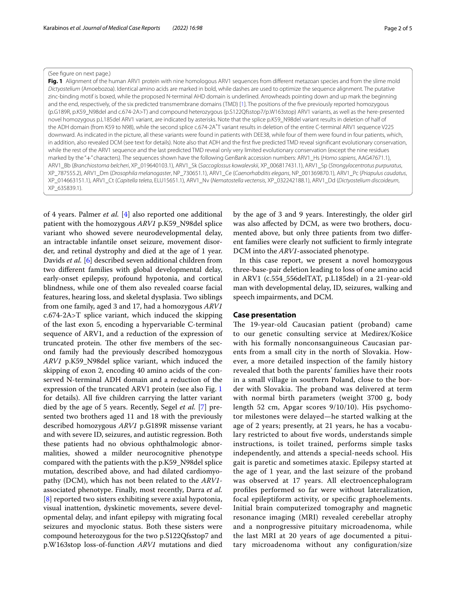#### (See fgure on next page.)

<span id="page-1-0"></span>Fig. 1 Alignment of the human ARV1 protein with nine homologous ARV1 sequences from different metazoan species and from the slime mold *Dictyostelium* (Amoebozoa). Identical amino acids are marked in bold, while dashes are used to optimize the sequence alignment. The putative zinc-binding motif is boxed, while the proposed N-terminal AHD domain is underlined. Arrowheads pointing down and up mark the beginning and the end, respectively, of the six predicted transmembrane domains (TMD) [[1\]](#page-4-0). The positions of the fve previously reported homozygous (p.G189R, p.K59\_N98del and c.674-2A>T) and compound heterozygous (p.S122Qfsstop7/p.W163stop) ARV1 variants, as well as the here-presented novel homozygous p.L185del ARV1 variant, are indicated by asterisks. Note that the splice p.K59\_N98del variant results in deletion of half of the ADH domain (from K59 to N98), while the second splice c.674-2A<sup>2</sup>T variant results in deletion of the entire C-terminal ARV1 sequence V225 downward. As indicated in the picture, all these variants were found in patients with DEE38, while four of them were found in four patients, which, in addition, also revealed DCM (see text for details). Note also that ADH and the frst fve predicted TMD reveal signifcant evolutionary conservation, while the rest of the ARV1 sequence and the last predicted TMD reveal only very limited evolutionary conservation (except the nine residues marked by the "+" characters). The sequences shown have the following GenBank accession numbers: ARV1\_Hs (*Homo sapiens*, AAG47671.1), ARV1\_Bb (*Branchiostoma belcheri*, XP\_019640103.1), ARV1\_Sk (*Saccoglossus kowalevskii*, XP\_006817431.1), ARV1\_Sp (*Strongylocentrotus purpuratus*, XP\_787555.2), ARV1\_Dm (*Drosophila melanogaster*, NP\_730651.1), ARV1\_Ce (*Caenorhabditis elegans*, NP\_001369870.1), ARV1\_Pc (*Priapulus caudatus*, XP\_014663151.1), ARV1\_Ct (*Capitella teleta*, ELU15651.1), ARV1\_Nv (*Nematostella vectensis*, XP\_032242188.1), ARV1\_Dd (*Dictyostelium discoideum*, XP\_635839.1).

of 4 years. Palmer *et al.* [[4\]](#page-4-2) also reported one additional patient with the homozygous *ARV1* p.K59\_N98del splice variant who showed severe neurodevelopmental delay, an intractable infantile onset seizure, movement disorder, and retinal dystrophy and died at the age of 1 year. Davids *et al.* [[6\]](#page-4-4) described seven additional children from two diferent families with global developmental delay, early-onset epilepsy, profound hypotonia, and cortical blindness, while one of them also revealed coarse facial features, hearing loss, and skeletal dysplasia. Two siblings from one family, aged 3 and 17, had a homozygous *ARV1* c.674-2A>T splice variant, which induced the skipping of the last exon 5, encoding a hypervariable C-terminal sequence of ARV1, and a reduction of the expression of truncated protein. The other five members of the second family had the previously described homozygous *ARV1* p.K59\_N98del splice variant, which induced the skipping of exon 2, encoding 40 amino acids of the conserved N-terminal ADH domain and a reduction of the expression of the truncated ARV1 protein (see also Fig. [1](#page-1-0) for details). All fve children carrying the latter variant died by the age of 5 years. Recently, Segel *et al.* [\[7](#page-4-5)] presented two brothers aged 11 and 18 with the previously described homozygous *ARV1* p.G189R missense variant and with severe ID, seizures, and autistic regression. Both these patients had no obvious ophthalmologic abnormalities, showed a milder neurocognitive phenotype compared with the patients with the p.K59\_N98del splice mutation, described above, and had dilated cardiomyopathy (DCM), which has not been related to the *ARV1* associated phenotype. Finally, most recently, Darra *et al.* [[8\]](#page-4-6) reported two sisters exhibiting severe axial hypotonia, visual inattention, dyskinetic movements, severe developmental delay, and infant epilepsy with migrating focal seizures and myoclonic status. Both these sisters were compound heterozygous for the two p.S122Qfsstop7 and p.W163stop loss-of-function *ARV1* mutations and died

by the age of 3 and 9 years. Interestingly, the older girl was also afected by DCM, as were two brothers, documented above, but only three patients from two diferent families were clearly not sufficient to firmly integrate DCM into the *ARV1*-associated phenotype.

In this case report, we present a novel homozygous three-base-pair deletion leading to loss of one amino acid in ARV1 (c.554\_556delTAT, p.L185del) in a 21-year-old man with developmental delay, ID, seizures, walking and speech impairments, and DCM.

#### <span id="page-1-1"></span>**Case presentation**

The 19-year-old Caucasian patient (proband) came to our genetic consulting service at Medirex/Košice with his formally nonconsanguineous Caucasian parents from a small city in the north of Slovakia. However, a more detailed inspection of the family history revealed that both the parents' families have their roots in a small village in southern Poland, close to the border with Slovakia. The proband was delivered at term with normal birth parameters (weight 3700 g, body length 52 cm, Apgar scores 9/10/10). His psychomotor milestones were delayed—he started walking at the age of 2 years; presently, at 21 years, he has a vocabulary restricted to about fve words, understands simple instructions, is toilet trained, performs simple tasks independently, and attends a special-needs school. His gait is paretic and sometimes ataxic. Epilepsy started at the age of 1 year, and the last seizure of the proband was observed at 17 years. All electroencephalogram profles performed so far were without lateralization, focal epileptiform activity, or specifc graphoelements. Initial brain computerized tomography and magnetic resonance imaging (MRI) revealed cerebellar atrophy and a nonprogressive pituitary microadenoma, while the last MRI at 20 years of age documented a pituitary microadenoma without any confguration/size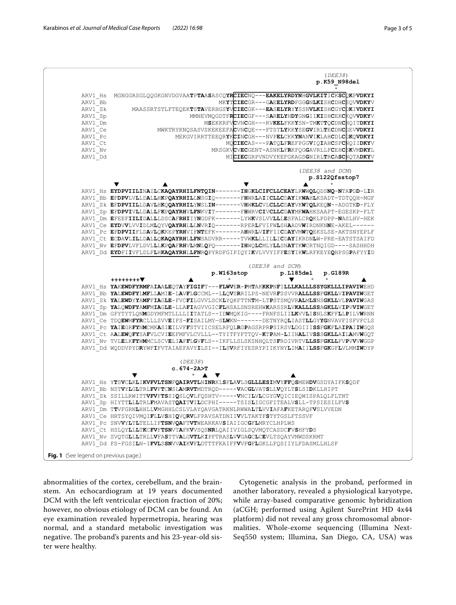

abnormalities of the cortex, cerebellum, and the brainstem. An echocardiogram at 19 years documented DCM with the left ventricular ejection fraction of 20%; however, no obvious etiology of DCM can be found. An eye examination revealed hypermetropia, hearing was normal, and a standard metabolic investigation was negative. The proband's parents and his 23-year-old sister were healthy.

Cytogenetic analysis in the proband, performed in another laboratory, revealed a physiological karyotype, while array-based comparative genomic hybridization (aCGH; performed using Agilent SurePrint HD 4x44 platform) did not reveal any gross chromosomal abnormalities. Whole-exome sequencing (Illumina Next-Seq550 system; Illumina, San Diego, CA, USA) was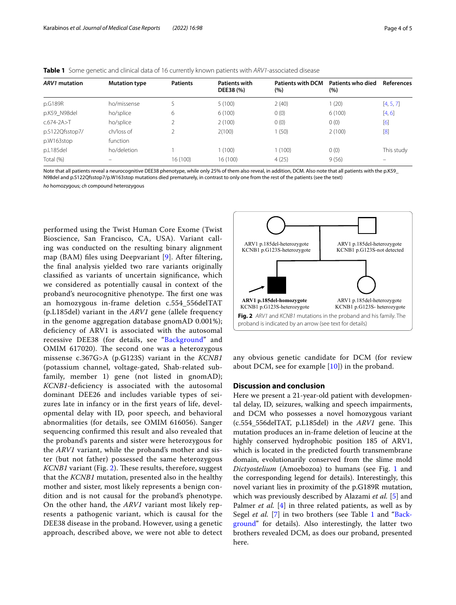#### <span id="page-3-0"></span>**Table 1** Some genetic and clinical data of 16 currently known patients with *ARV1*-associated disease

| <b>ARV1</b> mutation | <b>Mutation type</b> | <b>Patients</b> | <b>Patients with</b><br>DEE38 (%) | <b>Patients with DCM</b><br>(%) | Patients who died<br>(%) | <b>References</b> |
|----------------------|----------------------|-----------------|-----------------------------------|---------------------------------|--------------------------|-------------------|
| p.G189R              | ho/missense          | 5               | 5(100)                            | 2(40)                           | (20)                     | [4, 5, 7]         |
| p.K59 N98del         | ho/splice            | 6               | 6(100)                            | 0(0)                            | 6(100)                   | [4, 6]            |
| $C.674 - 2A > T$     | ho/splice            | 2               | 2(100)                            | 0(0)                            | 0(0)                     | [6]               |
| p.S122Qfsstop7/      | ch/loss of           |                 | 2(100)                            | 1(50)                           | 2(100)                   | [8]               |
| p.W163stop           | function             |                 |                                   |                                 |                          |                   |
| p.L185del            | ho/deletion          |                 | (100)                             | 1(100)                          | 0(0)                     | This study        |
| Total (%)            |                      | 16 (100)        | 16(100)                           | 4(25)                           | 9(56)                    |                   |

Note that all patients reveal a neurocognitive DEE38 phenotype, while only 25% of them also reveal, in addition, DCM. Also note that all patients with the p.K59\_ N98del and p.S122Qfsstop7/p.W163stop mutations died prematurely, in contrast to only one from the rest of the patients (see the text)

*ho* homozygous; *ch* compound heterozygous

performed using the Twist Human Core Exome (Twist Bioscience, San Francisco, CA, USA). Variant calling was conducted on the resulting binary alignment map (BAM) fles using Deepvariant [\[9](#page-4-7)]. After fltering, the fnal analysis yielded two rare variants originally classifed as variants of uncertain signifcance, which we considered as potentially causal in context of the proband's neurocognitive phenotype. The first one was an homozygous in-frame deletion c.554\_556delTAT (p.L185del) variant in the *ARV1* gene (allele frequency in the genome aggregation database gnomAD 0.001%); defciency of ARV1 is associated with the autosomal recessive DEE38 (for details, see "[Background"](#page-1-1) and OMIM 617020). The second one was a heterozygous missense c.367G>A (p.G123S) variant in the *KCNB1* (potassium channel, voltage-gated, Shab-related subfamily, member 1) gene (not listed in gnomAD); *KCNB1*-deficiency is associated with the autosomal dominant DEE26 and includes variable types of seizures late in infancy or in the frst years of life, developmental delay with ID, poor speech, and behavioral abnormalities (for details, see OMIM 616056). Sanger sequencing confrmed this result and also revealed that the proband's parents and sister were heterozygous for the *ARV1* variant, while the proband's mother and sister (but not father) possessed the same heterozygous *KCNB1* variant (Fig. [2\)](#page-3-1). These results, therefore, suggest that the *KCNB1* mutation, presented also in the healthy mother and sister, most likely represents a benign condition and is not causal for the proband's phenotype. On the other hand, the *ARV1* variant most likely represents a pathogenic variant, which is causal for the DEE38 disease in the proband. However, using a genetic approach, described above, we were not able to detect



<span id="page-3-1"></span>any obvious genetic candidate for DCM (for review about DCM, see for example [[10](#page-4-8)]) in the proband.

#### **Discussion and conclusion**

Here we present a 21-year-old patient with developmental delay, ID, seizures, walking and speech impairments, and DCM who possesses a novel homozygous variant (c.554\_556delTAT, p.L185del) in the *ARV1* gene. Tis mutation produces an in-frame deletion of leucine at the highly conserved hydrophobic position 185 of ARV1, which is located in the predicted fourth transmembrane domain, evolutionarily conserved from the slime mold *Dictyostelium* (Amoebozoa) to humans (see Fig. [1](#page-1-0) and the corresponding legend for details). Interestingly, this novel variant lies in proximity of the p.G189R mutation, which was previously described by Alazami *et al.* [[5\]](#page-4-3) and Palmer *et al.* [\[4](#page-4-2)] in three related patients, as well as by Segel *et al.* [[7\]](#page-4-5) in two brothers (see Table [1](#page-3-0) and ["Back](#page-1-1)[ground](#page-1-1)" for details). Also interestingly, the latter two brothers revealed DCM, as does our proband, presented here.